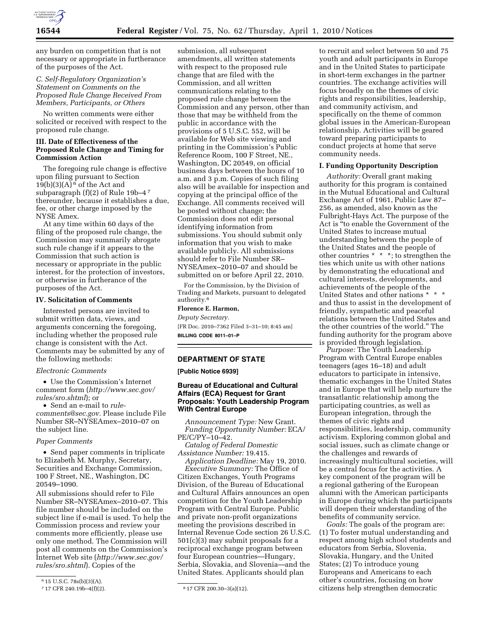

any burden on competition that is not necessary or appropriate in furtherance of the purposes of the Act.

# *C. Self-Regulatory Organization's Statement on Comments on the Proposed Rule Change Received From Members, Participants, or Others*

No written comments were either solicited or received with respect to the proposed rule change.

# **III. Date of Effectiveness of the Proposed Rule Change and Timing for Commission Action**

The foregoing rule change is effective upon filing pursuant to Section  $19(b)(3)(A)$ <sup>6</sup> of the Act and subparagraph (f)(2) of Rule 19b–4 7 thereunder, because it establishes a due, fee, or other charge imposed by the NYSE Amex.

At any time within 60 days of the filing of the proposed rule change, the Commission may summarily abrogate such rule change if it appears to the Commission that such action is necessary or appropriate in the public interest, for the protection of investors, or otherwise in furtherance of the purposes of the Act.

## **IV. Solicitation of Comments**

Interested persons are invited to submit written data, views, and arguments concerning the foregoing, including whether the proposed rule change is consistent with the Act. Comments may be submitted by any of the following methods:

## *Electronic Comments*

• Use the Commission's Internet comment form (*http://www.sec.gov/ rules/sro.shtml*); or

• Send an e-mail to *rulecomments@sec.gov.* Please include File Number SR–NYSEAmex–2010–07 on the subject line.

# *Paper Comments*

• Send paper comments in triplicate to Elizabeth M. Murphy, Secretary, Securities and Exchange Commission, 100 F Street, NE., Washington, DC 20549–1090.

All submissions should refer to File Number SR–NYSEAmex–2010–07. This file number should be included on the subject line if e-mail is used. To help the Commission process and review your comments more efficiently, please use only one method. The Commission will post all comments on the Commission's Internet Web site (*http://www.sec.gov/ rules/sro.shtml*). Copies of the

submission, all subsequent amendments, all written statements with respect to the proposed rule change that are filed with the Commission, and all written communications relating to the proposed rule change between the Commission and any person, other than those that may be withheld from the public in accordance with the provisions of 5 U.S.C. 552, will be available for Web site viewing and printing in the Commission's Public Reference Room, 100 F Street, NE., Washington, DC 20549, on official business days between the hours of 10 a.m. and 3 p.m. Copies of such filing also will be available for inspection and copying at the principal office of the Exchange. All comments received will be posted without change; the Commission does not edit personal identifying information from submissions. You should submit only information that you wish to make available publicly. All submissions should refer to File Number SR– NYSEAmex–2010–07 and should be submitted on or before April 22, 2010.

For the Commission, by the Division of Trading and Markets, pursuant to delegated authority.8

# **Florence E. Harmon,**

*Deputy Secretary.* 

[FR Doc. 2010–7362 Filed 3–31–10; 8:45 am] **BILLING CODE 8011–01–P** 

# **DEPARTMENT OF STATE**

**[Public Notice 6939]** 

# **Bureau of Educational and Cultural Affairs (ECA) Request for Grant Proposals: Youth Leadership Program With Central Europe**

*Announcement Type:* New Grant. *Funding Opportunity Number:* ECA/ PE/C/PY–10–42.

*Catalog of Federal Domestic Assistance Number:* 19.415.

*Application Deadline:* May 19, 2010. *Executive Summary:* The Office of Citizen Exchanges, Youth Programs Division, of the Bureau of Educational and Cultural Affairs announces an open competition for the Youth Leadership Program with Central Europe. Public and private non-profit organizations meeting the provisions described in Internal Revenue Code section 26 U.S.C. 501(c)(3) may submit proposals for a reciprocal exchange program between four European countries—Hungary, Serbia, Slovakia, and Slovenia—and the United States. Applicants should plan

to recruit and select between 50 and 75 youth and adult participants in Europe and in the United States to participate in short-term exchanges in the partner countries. The exchange activities will focus broadly on the themes of civic rights and responsibilities, leadership, and community activism, and specifically on the theme of common global issues in the American-European relationship. Activities will be geared toward preparing participants to conduct projects at home that serve community needs.

## **I. Funding Opportunity Description**

*Authority:* Overall grant making authority for this program is contained in the Mutual Educational and Cultural Exchange Act of 1961, Public Law 87– 256, as amended, also known as the Fulbright-Hays Act. The purpose of the Act is ''to enable the Government of the United States to increase mutual understanding between the people of the United States and the people of other countries \* \* \*; to strengthen the ties which unite us with other nations by demonstrating the educational and cultural interests, developments, and achievements of the people of the United States and other nations \* \* \* and thus to assist in the development of friendly, sympathetic and peaceful relations between the United States and the other countries of the world.'' The funding authority for the program above is provided through legislation.

*Purpose:* The Youth Leadership Program with Central Europe enables teenagers (ages 16–18) and adult educators to participate in intensive, thematic exchanges in the United States and in Europe that will help nurture the transatlantic relationship among the participating countries, as well as European integration, through the themes of civic rights and responsibilities, leadership, community activism. Exploring common global and social issues, such as climate change or the challenges and rewards of increasingly multicultural societies, will be a central focus for the activities. A key component of the program will be a regional gathering of the European alumni with the American participants in Europe during which the participants will deepen their understanding of the benefits of community service.

*Goals:* The goals of the program are: (1) To foster mutual understanding and respect among high school students and educators from Serbia, Slovenia, Slovakia, Hungary, and the United States; (2) To introduce young Europeans and Americans to each other's countries, focusing on how citizens help strengthen democratic

 $615$  U.S.C. 78s(b)(3)(A).<br>717 CFR 240.19b-4(f)(2).

<sup>8 17</sup> CFR 200.30-3(a)(12).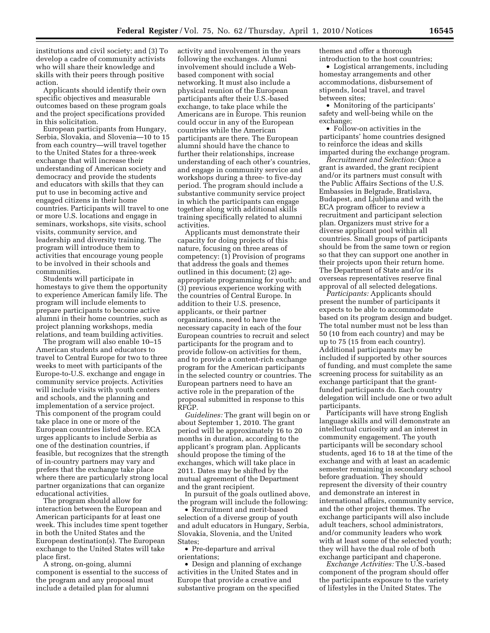institutions and civil society; and (3) To develop a cadre of community activists who will share their knowledge and skills with their peers through positive action.

Applicants should identify their own specific objectives and measurable outcomes based on these program goals and the project specifications provided in this solicitation.

European participants from Hungary, Serbia, Slovakia, and Slovenia—10 to 15 from each country—will travel together to the United States for a three-week exchange that will increase their understanding of American society and democracy and provide the students and educators with skills that they can put to use in becoming active and engaged citizens in their home countries. Participants will travel to one or more U.S. locations and engage in seminars, workshops, site visits, school visits, community service, and leadership and diversity training. The program will introduce them to activities that encourage young people to be involved in their schools and communities.

Students will participate in homestays to give them the opportunity to experience American family life. The program will include elements to prepare participants to become active alumni in their home countries, such as project planning workshops, media relations, and team building activities.

The program will also enable 10–15 American students and educators to travel to Central Europe for two to three weeks to meet with participants of the Europe-to-U.S. exchange and engage in community service projects. Activities will include visits with youth centers and schools, and the planning and implementation of a service project. This component of the program could take place in one or more of the European countries listed above. ECA urges applicants to include Serbia as one of the destination countries, if feasible, but recognizes that the strength of in-country partners may vary and prefers that the exchange take place where there are particularly strong local partner organizations that can organize educational activities.

The program should allow for interaction between the European and American participants for at least one week. This includes time spent together in both the United States and the European destination(s). The European exchange to the United States will take place first.

A strong, on-going, alumni component is essential to the success of the program and any proposal must include a detailed plan for alumni

activity and involvement in the years following the exchanges. Alumni involvement should include a Webbased component with social networking. It must also include a physical reunion of the European participants after their U.S.-based exchange, to take place while the Americans are in Europe. This reunion could occur in any of the European countries while the American participants are there. The European alumni should have the chance to further their relationships, increase understanding of each other's countries, and engage in community service and workshops during a three- to five-day period. The program should include a substantive community service project in which the participants can engage together along with additional skills training specifically related to alumni activities.

Applicants must demonstrate their capacity for doing projects of this nature, focusing on three areas of competency: (1) Provision of programs that address the goals and themes outlined in this document; (2) ageappropriate programming for youth; and (3) previous experience working with the countries of Central Europe. In addition to their U.S. presence, applicants, or their partner organizations, need to have the necessary capacity in each of the four European countries to recruit and select participants for the program and to provide follow-on activities for them, and to provide a content-rich exchange program for the American participants in the selected country or countries. The European partners need to have an active role in the preparation of the proposal submitted in response to this RFGP.

*Guidelines:* The grant will begin on or about September 1, 2010. The grant period will be approximately 16 to 20 months in duration, according to the applicant's program plan. Applicants should propose the timing of the exchanges, which will take place in 2011. Dates may be shifted by the mutual agreement of the Department and the grant recipient.

In pursuit of the goals outlined above, the program will include the following:

• Recruitment and merit-based selection of a diverse group of youth and adult educators in Hungary, Serbia, Slovakia, Slovenia, and the United States;

• Pre-departure and arrival orientations;

• Design and planning of exchange activities in the United States and in Europe that provide a creative and substantive program on the specified

themes and offer a thorough introduction to the host countries;

• Logistical arrangements, including homestay arrangements and other accommodations, disbursement of stipends, local travel, and travel between sites;

• Monitoring of the participants' safety and well-being while on the exchange;

• Follow-on activities in the participants' home countries designed to reinforce the ideas and skills imparted during the exchange program.

*Recruitment and Selection:* Once a grant is awarded, the grant recipient and/or its partners must consult with the Public Affairs Sections of the U.S. Embassies in Belgrade, Bratislava, Budapest, and Ljubljana and with the ECA program officer to review a recruitment and participant selection plan. Organizers must strive for a diverse applicant pool within all countries. Small groups of participants should be from the same town or region so that they can support one another in their projects upon their return home. The Department of State and/or its overseas representatives reserve final approval of all selected delegations.

*Participants:* Applicants should present the number of participants it expects to be able to accommodate based on its program design and budget. The total number must not be less than 50 (10 from each country) and may be up to 75 (15 from each country). Additional participants may be included if supported by other sources of funding, and must complete the same screening process for suitability as an exchange participant that the grantfunded participants do. Each country delegation will include one or two adult participants.

Participants will have strong English language skills and will demonstrate an intellectual curiosity and an interest in community engagement. The youth participants will be secondary school students, aged 16 to 18 at the time of the exchange and with at least an academic semester remaining in secondary school before graduation. They should represent the diversity of their country and demonstrate an interest in international affairs, community service, and the other project themes. The exchange participants will also include adult teachers, school administrators, and/or community leaders who work with at least some of the selected youth; they will have the dual role of both exchange participant and chaperone.

*Exchange Activities:* The U.S.-based component of the program should offer the participants exposure to the variety of lifestyles in the United States. The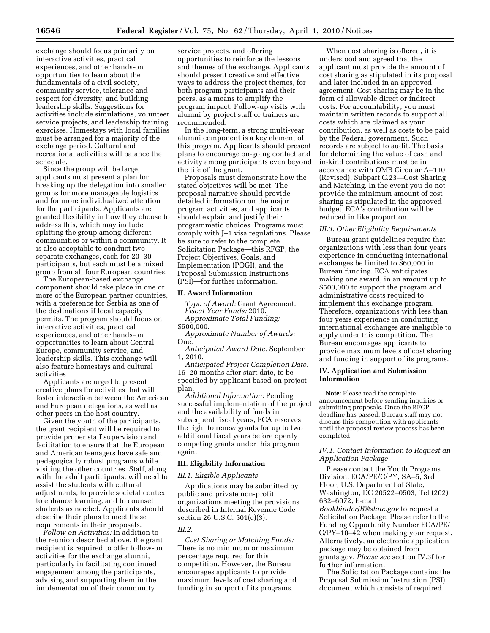exchange should focus primarily on interactive activities, practical experiences, and other hands-on opportunities to learn about the fundamentals of a civil society, community service, tolerance and respect for diversity, and building leadership skills. Suggestions for activities include simulations, volunteer service projects, and leadership training exercises. Homestays with local families must be arranged for a majority of the exchange period. Cultural and recreational activities will balance the schedule.

Since the group will be large, applicants must present a plan for breaking up the delegation into smaller groups for more manageable logistics and for more individualized attention for the participants. Applicants are granted flexibility in how they choose to address this, which may include splitting the group among different communities or within a community. It is also acceptable to conduct two separate exchanges, each for 20–30 participants, but each must be a mixed group from all four European countries.

The European-based exchange component should take place in one or more of the European partner countries, with a preference for Serbia as one of the destinations if local capacity permits. The program should focus on interactive activities, practical experiences, and other hands-on opportunities to learn about Central Europe, community service, and leadership skills. This exchange will also feature homestays and cultural activities.

Applicants are urged to present creative plans for activities that will foster interaction between the American and European delegations, as well as other peers in the host country.

Given the youth of the participants, the grant recipient will be required to provide proper staff supervision and facilitation to ensure that the European and American teenagers have safe and pedagogically robust programs while visiting the other countries. Staff, along with the adult participants, will need to assist the students with cultural adjustments, to provide societal context to enhance learning, and to counsel students as needed. Applicants should describe their plans to meet these requirements in their proposals.

*Follow-on Activities:* In addition to the reunion described above, the grant recipient is required to offer follow-on activities for the exchange alumni, particularly in facilitating continued engagement among the participants, advising and supporting them in the implementation of their community

service projects, and offering opportunities to reinforce the lessons and themes of the exchange. Applicants should present creative and effective ways to address the project themes, for both program participants and their peers, as a means to amplify the program impact. Follow-up visits with alumni by project staff or trainers are recommended.

In the long-term, a strong multi-year alumni component is a key element of this program. Applicants should present plans to encourage on-going contact and activity among participants even beyond the life of the grant.

Proposals must demonstrate how the stated objectives will be met. The proposal narrative should provide detailed information on the major program activities, and applicants should explain and justify their programmatic choices. Programs must comply with J–1 visa regulations. Please be sure to refer to the complete Solicitation Package—this RFGP, the Project Objectives, Goals, and Implementation (POGI), and the Proposal Submission Instructions (PSI)—for further information.

# **II. Award Information**

*Type of Award:* Grant Agreement. *Fiscal Year Funds:* 2010. *Approximate Total Funding:* 

\$500,000.

*Approximate Number of Awards:*  One.

*Anticipated Award Date:* September 1, 2010.

*Anticipated Project Completion Date:*  16–20 months after start date, to be specified by applicant based on project plan.

*Additional Information:* Pending successful implementation of the project and the availability of funds in subsequent fiscal years, ECA reserves the right to renew grants for up to two additional fiscal years before openly competing grants under this program again.

#### **III. Eligibility Information**

## *III.1. Eligible Applicants*

Applications may be submitted by public and private non-profit organizations meeting the provisions described in Internal Revenue Code section 26 U.S.C. 501(c)(3).

## *III.2.*

*Cost Sharing or Matching Funds:*  There is no minimum or maximum percentage required for this competition. However, the Bureau encourages applicants to provide maximum levels of cost sharing and funding in support of its programs.

When cost sharing is offered, it is understood and agreed that the applicant must provide the amount of cost sharing as stipulated in its proposal and later included in an approved agreement. Cost sharing may be in the form of allowable direct or indirect costs. For accountability, you must maintain written records to support all costs which are claimed as your contribution, as well as costs to be paid by the Federal government. Such records are subject to audit. The basis for determining the value of cash and in-kind contributions must be in accordance with OMB Circular A–110, (Revised), Subpart C.23—Cost Sharing and Matching. In the event you do not provide the minimum amount of cost sharing as stipulated in the approved budget, ECA's contribution will be reduced in like proportion.

## *III.3. Other Eligibility Requirements*

Bureau grant guidelines require that organizations with less than four years experience in conducting international exchanges be limited to \$60,000 in Bureau funding. ECA anticipates making one award, in an amount up to \$500,000 to support the program and administrative costs required to implement this exchange program. Therefore, organizations with less than four years experience in conducting international exchanges are ineligible to apply under this competition. The Bureau encourages applicants to provide maximum levels of cost sharing and funding in support of its programs.

# **IV. Application and Submission Information**

**Note:** Please read the complete announcement before sending inquiries or submitting proposals. Once the RFGP deadline has passed, Bureau staff may not discuss this competition with applicants until the proposal review process has been completed.

# *IV.1. Contact Information to Request an Application Package*

Please contact the Youth Programs Division, ECA/PE/C/PY, SA–5, 3rd Floor, U.S. Department of State, Washington, DC 20522–0503, Tel (202) 632–6072, E-mail *BookbinderJB@state.gov* to request a Solicitation Package. Please refer to the Funding Opportunity Number ECA/PE/ C/PY–10–42 when making your request. Alternatively, an electronic application package may be obtained from grants.gov. *Please see* section IV.3f for further information.

The Solicitation Package contains the Proposal Submission Instruction (PSI) document which consists of required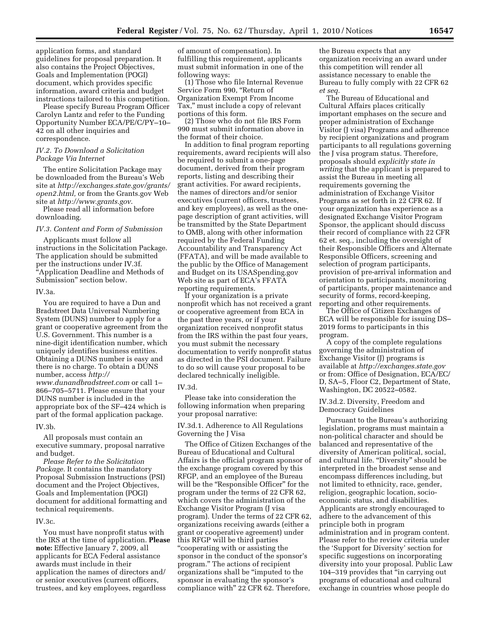application forms, and standard guidelines for proposal preparation. It also contains the Project Objectives, Goals and Implementation (POGI) document, which provides specific information, award criteria and budget instructions tailored to this competition.

Please specify Bureau Program Officer Carolyn Lantz and refer to the Funding Opportunity Number ECA/PE/C/PY–10– 42 on all other inquiries and correspondence.

# *IV.2. To Download a Solicitation Package Via Internet*

The entire Solicitation Package may be downloaded from the Bureau's Web site at *http://exchanges.state.gov/grants/ open2.html,* or from the Grants.gov Web site at *http://www.grants.gov*.

Please read all information before downloading.

#### *IV.3. Content and Form of Submission*

Applicants must follow all instructions in the Solicitation Package. The application should be submitted per the instructions under IV.3f. "Application Deadline and Methods of Submission'' section below.

#### IV.3a.

You are required to have a Dun and Bradstreet Data Universal Numbering System (DUNS) number to apply for a grant or cooperative agreement from the U.S. Government. This number is a nine-digit identification number, which uniquely identifies business entities. Obtaining a DUNS number is easy and there is no charge. To obtain a DUNS number, access *http:// www.dunandbradstreet.com* or call 1– 866–705–5711. Please ensure that your DUNS number is included in the appropriate box of the SF–424 which is part of the formal application package.

### IV.3b.

All proposals must contain an executive summary, proposal narrative and budget.

*Please Refer to the Solicitation Package.* It contains the mandatory Proposal Submission Instructions (PSI) document and the Project Objectives, Goals and Implementation (POGI) document for additional formatting and technical requirements.

# IV.3c.

You must have nonprofit status with the IRS at the time of application. **Please note:** Effective January 7, 2009, all applicants for ECA Federal assistance awards must include in their application the names of directors and/ or senior executives (current officers, trustees, and key employees, regardless

of amount of compensation). In fulfilling this requirement, applicants must submit information in one of the following ways:

(1) Those who file Internal Revenue Service Form 990, "Return of Organization Exempt From Income Tax,'' must include a copy of relevant portions of this form.

(2) Those who do not file IRS Form 990 must submit information above in the format of their choice.

In addition to final program reporting requirements, award recipients will also be required to submit a one-page document, derived from their program reports, listing and describing their grant activities. For award recipients, the names of directors and/or senior executives (current officers, trustees, and key employees), as well as the onepage description of grant activities, will be transmitted by the State Department to OMB, along with other information required by the Federal Funding Accountability and Transparency Act (FFATA), and will be made available to the public by the Office of Management and Budget on its USASpending.gov Web site as part of ECA's FFATA reporting requirements.

If your organization is a private nonprofit which has not received a grant or cooperative agreement from ECA in the past three years, or if your organization received nonprofit status from the IRS within the past four years, you must submit the necessary documentation to verify nonprofit status as directed in the PSI document. Failure to do so will cause your proposal to be declared technically ineligible.

#### IV.3d.

Please take into consideration the following information when preparing your proposal narrative:

IV.3d.1. Adherence to All Regulations Governing the J Visa

The Office of Citizen Exchanges of the Bureau of Educational and Cultural Affairs is the official program sponsor of the exchange program covered by this RFGP, and an employee of the Bureau will be the "Responsible Officer" for the program under the terms of 22 CFR 62, which covers the administration of the Exchange Visitor Program (J visa program). Under the terms of 22 CFR 62, organizations receiving awards (either a grant or cooperative agreement) under this RFGP will be third parties ''cooperating with or assisting the sponsor in the conduct of the sponsor's program.'' The actions of recipient organizations shall be ''imputed to the sponsor in evaluating the sponsor's compliance with'' 22 CFR 62. Therefore,

the Bureau expects that any organization receiving an award under this competition will render all assistance necessary to enable the Bureau to fully comply with 22 CFR 62 *et seq.* 

The Bureau of Educational and Cultural Affairs places critically important emphases on the secure and proper administration of Exchange Visitor (J visa) Programs and adherence by recipient organizations and program participants to all regulations governing the J visa program status. Therefore, proposals should *explicitly state in writing* that the applicant is prepared to assist the Bureau in meeting all requirements governing the administration of Exchange Visitor Programs as set forth in 22 CFR 62. If your organization has experience as a designated Exchange Visitor Program Sponsor, the applicant should discuss their record of compliance with 22 CFR 62 et. seq., including the oversight of their Responsible Officers and Alternate Responsible Officers, screening and selection of program participants, provision of pre-arrival information and orientation to participants, monitoring of participants, proper maintenance and security of forms, record-keeping, reporting and other requirements.

The Office of Citizen Exchanges of ECA will be responsible for issuing DS– 2019 forms to participants in this program.

A copy of the complete regulations governing the administration of Exchange Visitor (J) programs is available at *http://exchanges.state.gov*  or from: Office of Designation, ECA/EC/ D, SA–5, Floor C2, Department of State, Washington, DC 20522–0582.

# IV.3d.2. Diversity, Freedom and Democracy Guidelines

Pursuant to the Bureau's authorizing legislation, programs must maintain a non-political character and should be balanced and representative of the diversity of American political, social, and cultural life. "Diversity" should be interpreted in the broadest sense and encompass differences including, but not limited to ethnicity, race, gender, religion, geographic location, socioeconomic status, and disabilities. Applicants are strongly encouraged to adhere to the advancement of this principle both in program administration and in program content. Please refer to the review criteria under the 'Support for Diversity' section for specific suggestions on incorporating diversity into your proposal. Public Law 104–319 provides that ''in carrying out programs of educational and cultural exchange in countries whose people do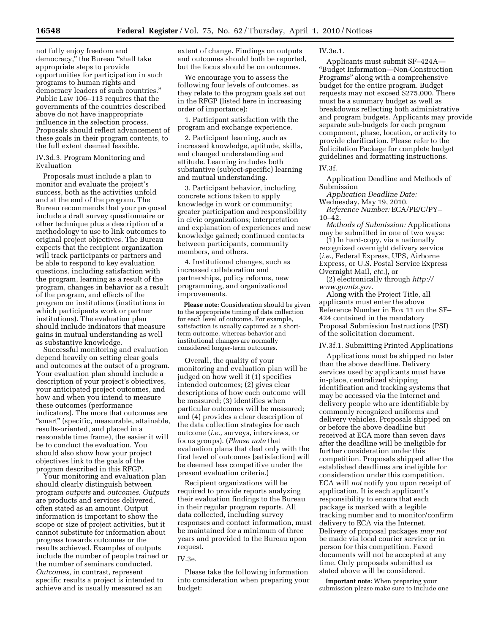not fully enjoy freedom and democracy,'' the Bureau ''shall take appropriate steps to provide opportunities for participation in such programs to human rights and democracy leaders of such countries.'' Public Law 106–113 requires that the governments of the countries described above do not have inappropriate influence in the selection process. Proposals should reflect advancement of these goals in their program contents, to the full extent deemed feasible.

# IV.3d.3. Program Monitoring and Evaluation

Proposals must include a plan to monitor and evaluate the project's success, both as the activities unfold and at the end of the program. The Bureau recommends that your proposal include a draft survey questionnaire or other technique plus a description of a methodology to use to link outcomes to original project objectives. The Bureau expects that the recipient organization will track participants or partners and be able to respond to key evaluation questions, including satisfaction with the program, learning as a result of the program, changes in behavior as a result of the program, and effects of the program on institutions (institutions in which participants work or partner institutions). The evaluation plan should include indicators that measure gains in mutual understanding as well as substantive knowledge.

Successful monitoring and evaluation depend heavily on setting clear goals and outcomes at the outset of a program. Your evaluation plan should include a description of your project's objectives, your anticipated project outcomes, and how and when you intend to measure these outcomes (performance indicators). The more that outcomes are ''smart'' (specific, measurable, attainable, results-oriented, and placed in a reasonable time frame), the easier it will be to conduct the evaluation. You should also show how your project objectives link to the goals of the program described in this RFGP.

Your monitoring and evaluation plan should clearly distinguish between program *outputs* and *outcomes. Outputs*  are products and services delivered, often stated as an amount. Output information is important to show the scope or size of project activities, but it cannot substitute for information about progress towards outcomes or the results achieved. Examples of outputs include the number of people trained or the number of seminars conducted. *Outcomes,* in contrast, represent specific results a project is intended to achieve and is usually measured as an

extent of change. Findings on outputs and outcomes should both be reported, but the focus should be on outcomes.

We encourage you to assess the following four levels of outcomes, as they relate to the program goals set out in the RFGP (listed here in increasing order of importance):

1. Participant satisfaction with the program and exchange experience.

2. Participant learning, such as increased knowledge, aptitude, skills, and changed understanding and attitude. Learning includes both substantive (subject-specific) learning and mutual understanding.

3. Participant behavior, including concrete actions taken to apply knowledge in work or community; greater participation and responsibility in civic organizations; interpretation and explanation of experiences and new knowledge gained; continued contacts between participants, community members, and others.

4. Institutional changes, such as increased collaboration and partnerships, policy reforms, new programming, and organizational improvements.

**Please note:** Consideration should be given to the appropriate timing of data collection for each level of outcome. For example, satisfaction is usually captured as a shortterm outcome, whereas behavior and institutional changes are normally considered longer-term outcomes.

Overall, the quality of your monitoring and evaluation plan will be judged on how well it (1) specifies intended outcomes; (2) gives clear descriptions of how each outcome will be measured; (3) identifies when particular outcomes will be measured; and (4) provides a clear description of the data collection strategies for each outcome (*i.e.,* surveys, interviews, or focus groups). (*Please note* that evaluation plans that deal only with the first level of outcomes [satisfaction] will be deemed less competitive under the present evaluation criteria.)

Recipient organizations will be required to provide reports analyzing their evaluation findings to the Bureau in their regular program reports. All data collected, including survey responses and contact information, must be maintained for a minimum of three years and provided to the Bureau upon request.

#### IV.3e.

Please take the following information into consideration when preparing your budget:

IV.3e.1.

Applicants must submit SF–424A— ''Budget Information—Non-Construction Programs'' along with a comprehensive budget for the entire program. Budget requests may not exceed \$275,000. There must be a summary budget as well as breakdowns reflecting both administrative and program budgets. Applicants may provide separate sub-budgets for each program component, phase, location, or activity to provide clarification. Please refer to the Solicitation Package for complete budget guidelines and formatting instructions.

### IV.3f.

Application Deadline and Methods of Submission

*Application Deadline Date:* 

Wednesday, May 19, 2010. *Reference Number:* ECA/PE/C/PY– 10–42.

*Methods of Submission:* Applications may be submitted in one of two ways:

(1) In hard-copy, via a nationally recognized overnight delivery service (*i.e.,* Federal Express, UPS, Airborne Express, or U.S. Postal Service Express Overnight Mail, *etc.*), or

(2) electronically through *http:// www.grants.gov.* 

Along with the Project Title, all applicants must enter the above Reference Number in Box 11 on the SF– 424 contained in the mandatory Proposal Submission Instructions (PSI) of the solicitation document.

IV.3f.1. Submitting Printed Applications

Applications must be shipped no later than the above deadline. Delivery services used by applicants must have in-place, centralized shipping identification and tracking systems that may be accessed via the Internet and delivery people who are identifiable by commonly recognized uniforms and delivery vehicles. Proposals shipped on or before the above deadline but received at ECA more than seven days after the deadline will be ineligible for further consideration under this competition. Proposals shipped after the established deadlines are ineligible for consideration under this competition. ECA will *not* notify you upon receipt of application. It is each applicant's responsibility to ensure that each package is marked with a legible tracking number and to monitor/confirm delivery to ECA via the Internet. Delivery of proposal packages *may not*  be made via local courier service or in person for this competition. Faxed documents will not be accepted at any time. Only proposals submitted as stated above will be considered.

**Important note:** When preparing your submission please make sure to include one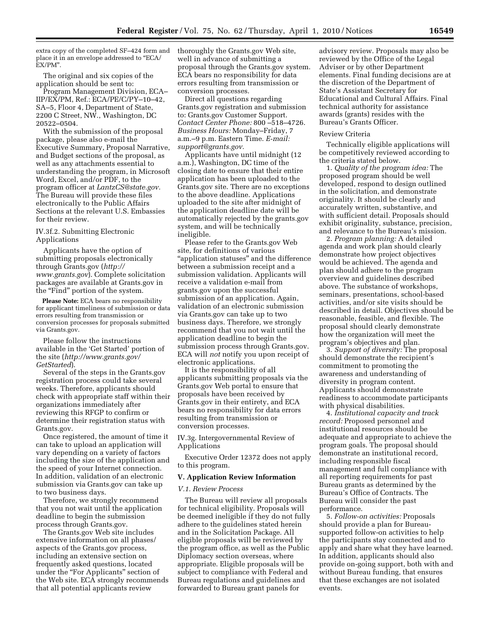extra copy of the completed SF–424 form and place it in an envelope addressed to ''ECA/ EX/PM''.

The original and six copies of the application should be sent to:

Program Management Division, ECA– IIP/EX/PM, Ref.: ECA/PE/C/PY–10–42, SA–5, Floor 4, Department of State, 2200 C Street, NW., Washington, DC 20522–0504.

With the submission of the proposal package, please also e-mail the Executive Summary, Proposal Narrative, and Budget sections of the proposal, as well as any attachments essential to understanding the program, in Microsoft Word, Excel, and/or PDF, to the program officer at *LantzCS@state.gov.*  The Bureau will provide these files electronically to the Public Affairs Sections at the relevant U.S. Embassies for their review.

IV.3f.2. Submitting Electronic Applications

Applicants have the option of submitting proposals electronically through Grants.gov (*http:// www.grants.gov*). Complete solicitation packages are available at Grants.gov in the "Find" portion of the system.

**Please Note:** ECA bears no responsibility for applicant timeliness of submission or data errors resulting from transmission or conversion processes for proposals submitted via Grants.gov.

Please follow the instructions available in the 'Get Started' portion of the site (*http://www.grants.gov/ GetStarted*).

Several of the steps in the Grants.gov registration process could take several weeks. Therefore, applicants should check with appropriate staff within their organizations immediately after reviewing this RFGP to confirm or determine their registration status with Grants.gov.

Once registered, the amount of time it can take to upload an application will vary depending on a variety of factors including the size of the application and the speed of your Internet connection. In addition, validation of an electronic submission via Grants.gov can take up to two business days.

Therefore, we strongly recommend that you not wait until the application deadline to begin the submission process through Grants.gov.

The Grants.gov Web site includes extensive information on all phases/ aspects of the Grants.gov process, including an extensive section on frequently asked questions, located under the "For Applicants" section of the Web site. ECA strongly recommends that all potential applicants review

thoroughly the Grants.gov Web site, well in advance of submitting a proposal through the Grants.gov system. ECA bears no responsibility for data errors resulting from transmission or conversion processes.

Direct all questions regarding Grants.gov registration and submission to: Grants.gov Customer Support. *Contact Center Phone:* 800 –518–4726. *Business Hours:* Monday–Friday, 7 a.m.–9 p.m. Eastern Time. *E-mail: support@grants.gov.* 

Applicants have until midnight (12 a.m.), Washington, DC time of the closing date to ensure that their entire application has been uploaded to the Grants.gov site. There are no exceptions to the above deadline. Applications uploaded to the site after midnight of the application deadline date will be automatically rejected by the grants.gov system, and will be technically ineligible.

Please refer to the Grants.gov Web site, for definitions of various "application statuses" and the difference between a submission receipt and a submission validation. Applicants will receive a validation e-mail from grants.gov upon the successful submission of an application. Again, validation of an electronic submission via Grants.gov can take up to two business days. Therefore, we strongly recommend that you not wait until the application deadline to begin the submission process through Grants.gov. ECA will *not* notify you upon receipt of electronic applications.

It is the responsibility of all applicants submitting proposals via the Grants.gov Web portal to ensure that proposals have been received by Grants.gov in their entirety, and ECA bears no responsibility for data errors resulting from transmission or conversion processes.

IV.3g. Intergovernmental Review of Applications

Executive Order 12372 does not apply to this program.

### **V. Application Review Information**

#### *V.1. Review Process*

The Bureau will review all proposals for technical eligibility. Proposals will be deemed ineligible if they do not fully adhere to the guidelines stated herein and in the Solicitation Package. All eligible proposals will be reviewed by the program office, as well as the Public Diplomacy section overseas, where appropriate. Eligible proposals will be subject to compliance with Federal and Bureau regulations and guidelines and forwarded to Bureau grant panels for

advisory review. Proposals may also be reviewed by the Office of the Legal Adviser or by other Department elements. Final funding decisions are at the discretion of the Department of State's Assistant Secretary for Educational and Cultural Affairs. Final technical authority for assistance awards (grants) resides with the Bureau's Grants Officer.

## Review Criteria

Technically eligible applications will be competitively reviewed according to the criteria stated below.

1. *Quality of the program idea:* The proposed program should be well developed, respond to design outlined in the solicitation, and demonstrate originality. It should be clearly and accurately written, substantive, and with sufficient detail. Proposals should exhibit originality, substance, precision, and relevance to the Bureau's mission.

2. *Program planning:* A detailed agenda and work plan should clearly demonstrate how project objectives would be achieved. The agenda and plan should adhere to the program overview and guidelines described above. The substance of workshops, seminars, presentations, school-based activities, and/or site visits should be described in detail. Objectives should be reasonable, feasible, and flexible. The proposal should clearly demonstrate how the organization will meet the program's objectives and plan.

3. *Support of diversity:* The proposal should demonstrate the recipient's commitment to promoting the awareness and understanding of diversity in program content. Applicants should demonstrate readiness to accommodate participants with physical disabilities.

4. *Institutional capacity and track record:* Proposed personnel and institutional resources should be adequate and appropriate to achieve the program goals. The proposal should demonstrate an institutional record, including responsible fiscal management and full compliance with all reporting requirements for past Bureau grants as determined by the Bureau's Office of Contracts. The Bureau will consider the past performance.

5. *Follow-on activities:* Proposals should provide a plan for Bureausupported follow-on activities to help the participants stay connected and to apply and share what they have learned. In addition, applicants should also provide on-going support, both with and without Bureau funding, that ensures that these exchanges are not isolated events.